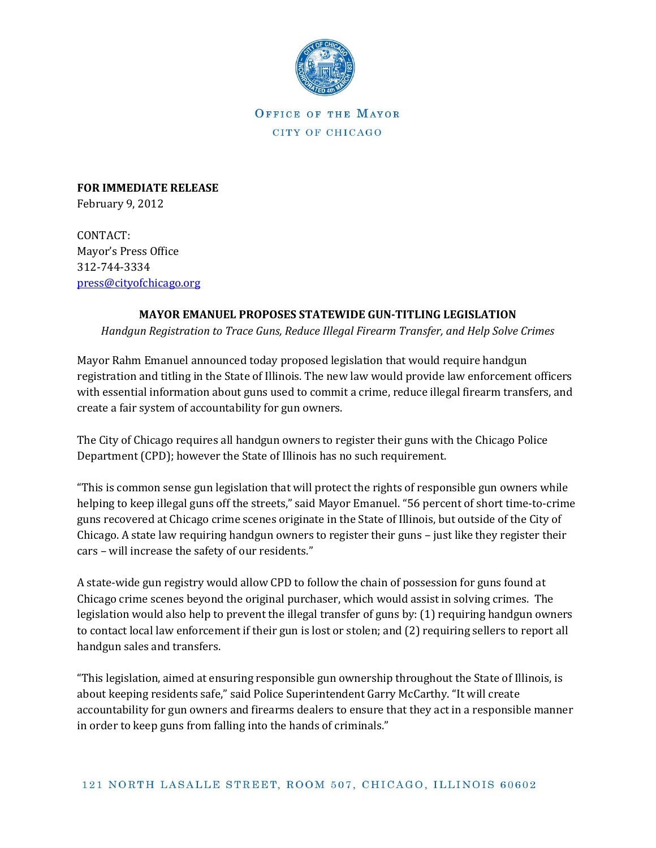

OFFICE OF THE MAYOR CITY OF CHICAGO

**FOR IMMEDIATE RELEASE**  February 9, 2012

CONTACT: Mayor's Press Office 312-744-3334 [press@cityofchicago.org](mailto:press@cityofchicago.org)

## **MAYOR EMANUEL PROPOSES STATEWIDE GUN-TITLING LEGISLATION**

*Handgun Registration to Trace Guns, Reduce Illegal Firearm Transfer, and Help Solve Crimes*

Mayor Rahm Emanuel announced today proposed legislation that would require handgun registration and titling in the State of Illinois. The new law would provide law enforcement officers with essential information about guns used to commit a crime, reduce illegal firearm transfers, and create a fair system of accountability for gun owners.

The City of Chicago requires all handgun owners to register their guns with the Chicago Police Department (CPD); however the State of Illinois has no such requirement.

"This is common sense gun legislation that will protect the rights of responsible gun owners while helping to keep illegal guns off the streets," said Mayor Emanuel. "56 percent of short time-to-crime guns recovered at Chicago crime scenes originate in the State of Illinois, but outside of the City of Chicago. A state law requiring handgun owners to register their guns – just like they register their cars – will increase the safety of our residents."

A state-wide gun registry would allow CPD to follow the chain of possession for guns found at Chicago crime scenes beyond the original purchaser, which would assist in solving crimes. The legislation would also help to prevent the illegal transfer of guns by: (1) requiring handgun owners to contact local law enforcement if their gun is lost or stolen; and (2) requiring sellers to report all handgun sales and transfers.

"This legislation, aimed at ensuring responsible gun ownership throughout the State of Illinois, is about keeping residents safe," said Police Superintendent Garry McCarthy. "It will create accountability for gun owners and firearms dealers to ensure that they act in a responsible manner in order to keep guns from falling into the hands of criminals."